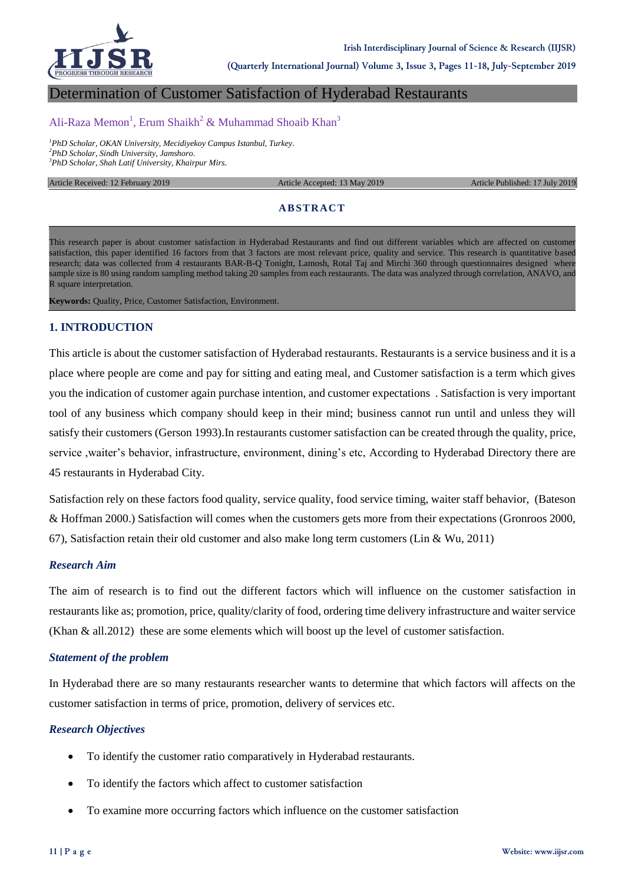

**(Quarterly International Journal) Volume 3, Issue 3, Pages 11-18, July-September 2019**

# Determination of Customer Satisfaction of Hyderabad Restaurants

# Ali-Raza Memon<sup>1</sup>, Erum Shaikh<sup>2</sup> & Muhammad Shoaib Khan<sup>3</sup>

*<sup>1</sup>PhD Scholar, OKAN University, Mecidiyekoy Campus Istanbul, Turkey. <sup>2</sup>PhD Scholar, Sindh University, Jamshoro. <sup>3</sup>PhD Scholar, Shah Latif University, Khairpur Mirs.*

Article Received: 12 February 2019 **Article Accepted: 13 May 2019** Article Published: 17 July 2019

#### **ABSTRACT**

This research paper is about customer satisfaction in Hyderabad Restaurants and find out different variables which are affected on customer satisfaction, this paper identified 16 factors from that 3 factors are most relevant price, quality and service. This research is quantitative based research; data was collected from 4 restaurants BAR-B-Q Tonight, Lamosh, Rotal Taj and Mirchi 360 through questionnaires designed where sample size is 80 using random sampling method taking 20 samples from each restaurants. The data was analyzed through correlation, ANAVO, and R square interpretation.

**Keywords:** Quality, Price, Customer Satisfaction, Environment.

### **1. INTRODUCTION**

This article is about the customer satisfaction of Hyderabad restaurants. Restaurants is a service business and it is a place where people are come and pay for sitting and eating meal, and Customer satisfaction is a term which gives you the indication of customer again purchase intention, and customer expectations . Satisfaction is very important tool of any business which company should keep in their mind; business cannot run until and unless they will satisfy their customers (Gerson 1993).In restaurants customer satisfaction can be created through the quality, price, service ,waiter's behavior, infrastructure, environment, dining's etc, According to Hyderabad Directory there are 45 restaurants in Hyderabad City.

Satisfaction rely on these factors food quality, service quality, food service timing, waiter staff behavior, (Bateson & Hoffman 2000.) Satisfaction will comes when the customers gets more from their expectations (Gronroos 2000, 67), Satisfaction retain their old customer and also make long term customers (Lin & Wu, 2011)

#### *Research Aim*

The aim of research is to find out the different factors which will influence on the customer satisfaction in restaurants like as; promotion, price, quality/clarity of food, ordering time delivery infrastructure and waiter service (Khan & all.2012) these are some elements which will boost up the level of customer satisfaction.

#### *Statement of the problem*

In Hyderabad there are so many restaurants researcher wants to determine that which factors will affects on the customer satisfaction in terms of price, promotion, delivery of services etc.

#### *Research Objectives*

- To identify the customer ratio comparatively in Hyderabad restaurants.
- To identify the factors which affect to customer satisfaction
- To examine more occurring factors which influence on the customer satisfaction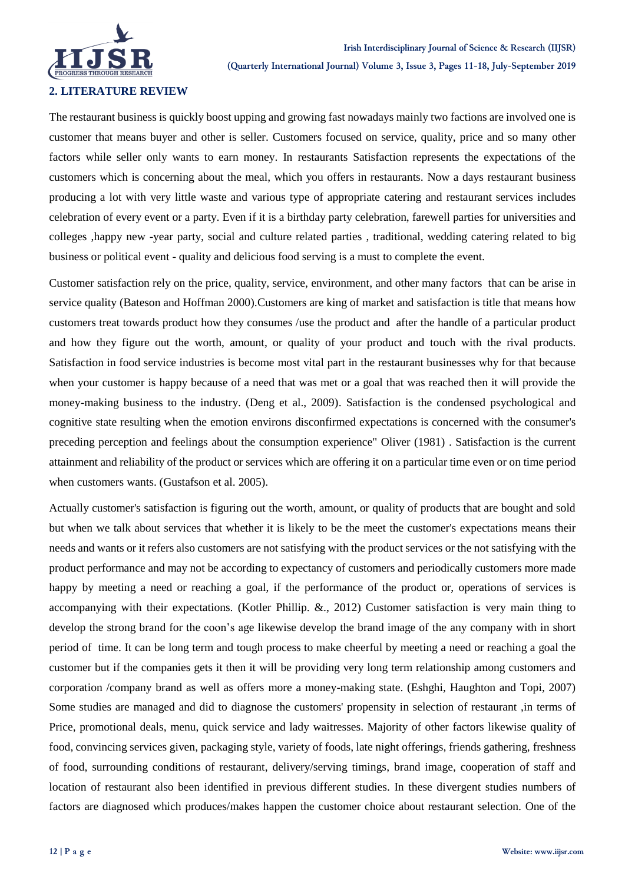

## **2. LITERATURE REVIEW**

The restaurant business is quickly boost upping and growing fast nowadays mainly two factions are involved one is customer that means buyer and other is seller. Customers focused on service, quality, price and so many other factors while seller only wants to earn money. In restaurants Satisfaction represents the expectations of the customers which is concerning about the meal, which you offers in restaurants. Now a days restaurant business producing a lot with very little waste and various type of appropriate catering and restaurant services includes celebration of every event or a party. Even if it is a birthday party celebration, farewell parties for universities and colleges ,happy new -year party, social and culture related parties , traditional, wedding catering related to big business or political event - quality and delicious food serving is a must to complete the event.

Customer satisfaction rely on the price, quality, service, environment, and other many factors that can be arise in service quality (Bateson and Hoffman 2000).Customers are king of market and satisfaction is title that means how customers treat towards product how they consumes /use the product and after the handle of a particular product and how they figure out the worth, amount, or quality of your product and touch with the rival products. Satisfaction in food service industries is become most vital part in the restaurant businesses why for that because when your customer is happy because of a need that was met or a goal that was reached then it will provide the money-making business to the industry. (Deng et al., 2009). Satisfaction is the condensed psychological and cognitive state resulting when the emotion environs disconfirmed expectations is concerned with the consumer's preceding perception and feelings about the consumption experience" Oliver (1981) . Satisfaction is the current attainment and reliability of the product or services which are offering it on a particular time even or on time period when customers wants. (Gustafson et al. 2005).

Actually customer's satisfaction is figuring out the worth, amount, or quality of products that are bought and sold but when we talk about services that whether it is likely to be the meet the customer's expectations means their needs and wants or it refers also customers are not satisfying with the product services or the not satisfying with the product performance and may not be according to expectancy of customers and periodically customers more made happy by meeting a need or reaching a goal, if the performance of the product or, operations of services is accompanying with their expectations. (Kotler Phillip. &., 2012) Customer satisfaction is very main thing to develop the strong brand for the coon"s age likewise develop the brand image of the any company with in short period of time. It can be long term and tough process to make cheerful by meeting a need or reaching a goal the customer but if the companies gets it then it will be providing very long term relationship among customers and corporation /company brand as well as offers more a money-making state. (Eshghi, Haughton and Topi, 2007) Some studies are managed and did to diagnose the customers' propensity in selection of restaurant ,in terms of Price, promotional deals, menu, quick service and lady waitresses. Majority of other factors likewise quality of food, convincing services given, packaging style, variety of foods, late night offerings, friends gathering, freshness of food, surrounding conditions of restaurant, delivery/serving timings, brand image, cooperation of staff and location of restaurant also been identified in previous different studies. In these divergent studies numbers of factors are diagnosed which produces/makes happen the customer choice about restaurant selection. One of the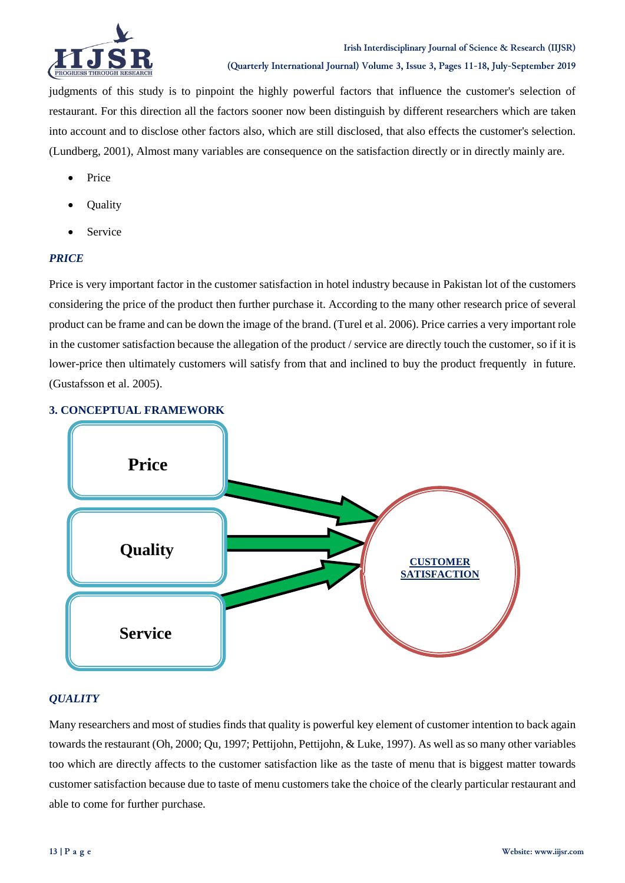

judgments of this study is to pinpoint the highly powerful factors that influence the customer's selection of restaurant. For this direction all the factors sooner now been distinguish by different researchers which are taken into account and to disclose other factors also, which are still disclosed, that also effects the customer's selection. (Lundberg, 2001), Almost many variables are consequence on the satisfaction directly or in directly mainly are.

- Price
- **Ouality**
- Service

## *PRICE*

Price is very important factor in the customer satisfaction in hotel industry because in Pakistan lot of the customers considering the price of the product then further purchase it. According to the many other research price of several product can be frame and can be down the image of the brand. (Turel et al. 2006). Price carries a very important role in the customer satisfaction because the allegation of the product / service are directly touch the customer, so if it is lower-price then ultimately customers will satisfy from that and inclined to buy the product frequently in future. (Gustafsson et al. 2005).

# **3. CONCEPTUAL FRAMEWORK**



# *QUALITY*

Many researchers and most of studies finds that quality is powerful key element of customer intention to back again towards the restaurant (Oh, 2000; Qu, 1997; Pettijohn, Pettijohn, & Luke, 1997). As well as so many other variables too which are directly affects to the customer satisfaction like as the taste of menu that is biggest matter towards customer satisfaction because due to taste of menu customers take the choice of the clearly particular restaurant and able to come for further purchase.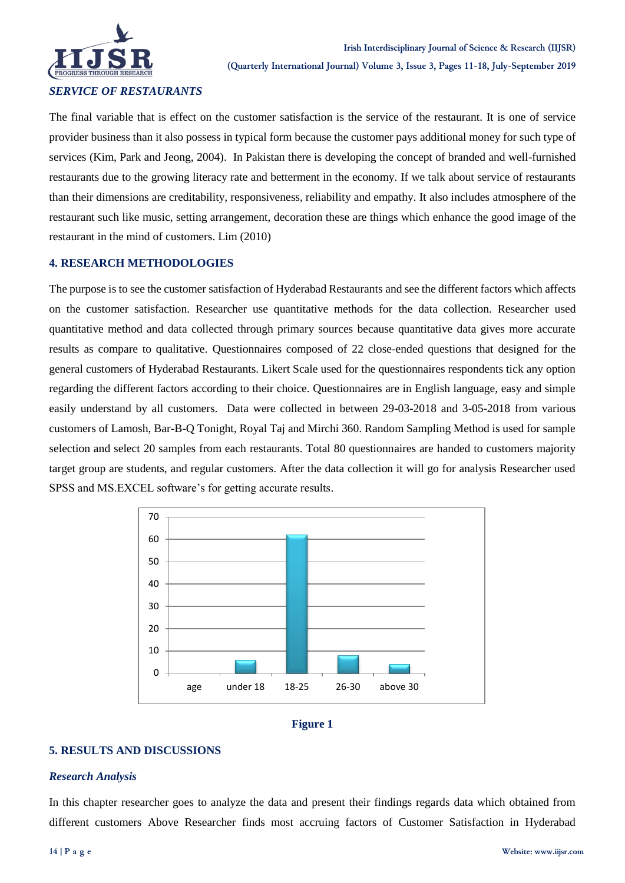

*SERVICE OF RESTAURANTS*

The final variable that is effect on the customer satisfaction is the service of the restaurant. It is one of service provider business than it also possess in typical form because the customer pays additional money for such type of services (Kim, Park and Jeong, 2004). In Pakistan there is developing the concept of branded and well-furnished restaurants due to the growing literacy rate and betterment in the economy. If we talk about service of restaurants than their dimensions are creditability, responsiveness, reliability and empathy. It also includes atmosphere of the restaurant such like music, setting arrangement, decoration these are things which enhance the good image of the restaurant in the mind of customers. Lim (2010)

## **4. RESEARCH METHODOLOGIES**

The purpose is to see the customer satisfaction of Hyderabad Restaurants and see the different factors which affects on the customer satisfaction. Researcher use quantitative methods for the data collection. Researcher used quantitative method and data collected through primary sources because quantitative data gives more accurate results as compare to qualitative. Questionnaires composed of 22 close-ended questions that designed for the general customers of Hyderabad Restaurants. Likert Scale used for the questionnaires respondents tick any option regarding the different factors according to their choice. Questionnaires are in English language, easy and simple easily understand by all customers. Data were collected in between 29-03-2018 and 3-05-2018 from various customers of Lamosh, Bar-B-Q Tonight, Royal Taj and Mirchi 360. Random Sampling Method is used for sample selection and select 20 samples from each restaurants. Total 80 questionnaires are handed to customers majority target group are students, and regular customers. After the data collection it will go for analysis Researcher used SPSS and MS.EXCEL software's for getting accurate results.





### **5. RESULTS AND DISCUSSIONS**

#### *Research Analysis*

In this chapter researcher goes to analyze the data and present their findings regards data which obtained from different customers Above Researcher finds most accruing factors of Customer Satisfaction in Hyderabad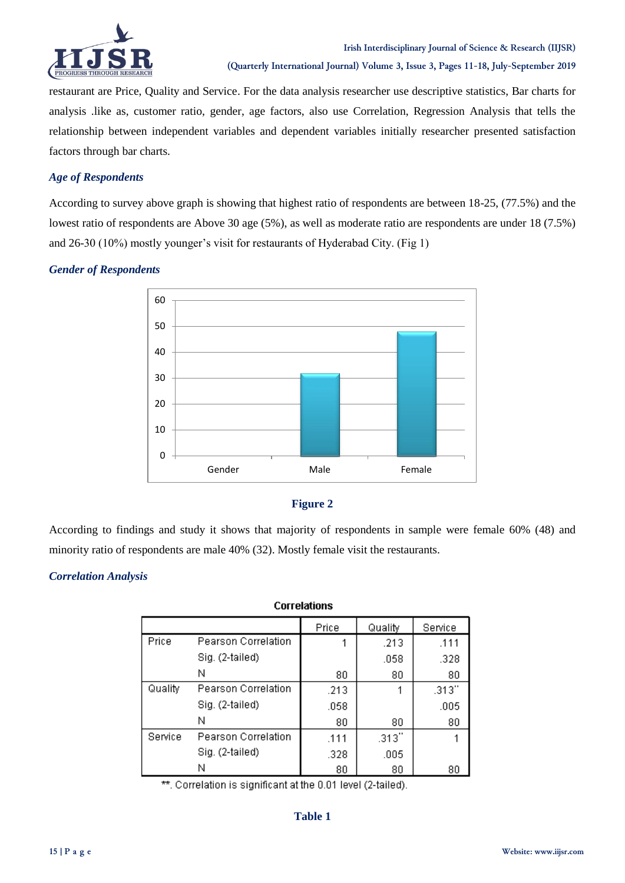

restaurant are Price, Quality and Service. For the data analysis researcher use descriptive statistics, Bar charts for analysis .like as, customer ratio, gender, age factors, also use Correlation, Regression Analysis that tells the relationship between independent variables and dependent variables initially researcher presented satisfaction factors through bar charts.

## *Age of Respondents*

According to survey above graph is showing that highest ratio of respondents are between 18-25, (77.5%) and the lowest ratio of respondents are Above 30 age (5%), as well as moderate ratio are respondents are under 18 (7.5%) and 26-30 (10%) mostly younger's visit for restaurants of Hyderabad City. (Fig 1)

## *Gender of Respondents*



# **Figure 2**

According to findings and study it shows that majority of respondents in sample were female 60% (48) and minority ratio of respondents are male 40% (32). Mostly female visit the restaurants.

## *Correlation Analysis*

# **Correlations**

|         |                     | Price | Quality | Service |
|---------|---------------------|-------|---------|---------|
| Price   | Pearson Correlation |       | .213    | .111    |
|         | Sig. (2-tailed)     |       | .058    | .328    |
|         | Ν                   | 80    | 80      | 80      |
| Quality | Pearson Correlation | .213  |         | .313"   |
|         | Sig. (2-tailed)     | .058  |         | .005    |
|         | N                   | 80    | 80      | 80      |
| Service | Pearson Correlation | .111  | .313''  |         |
|         | Sig. (2-tailed)     | .328  | .005    |         |
|         | N                   | 80    | 80      | 80      |

\*\*. Correlation is significant at the 0.01 level (2-tailed).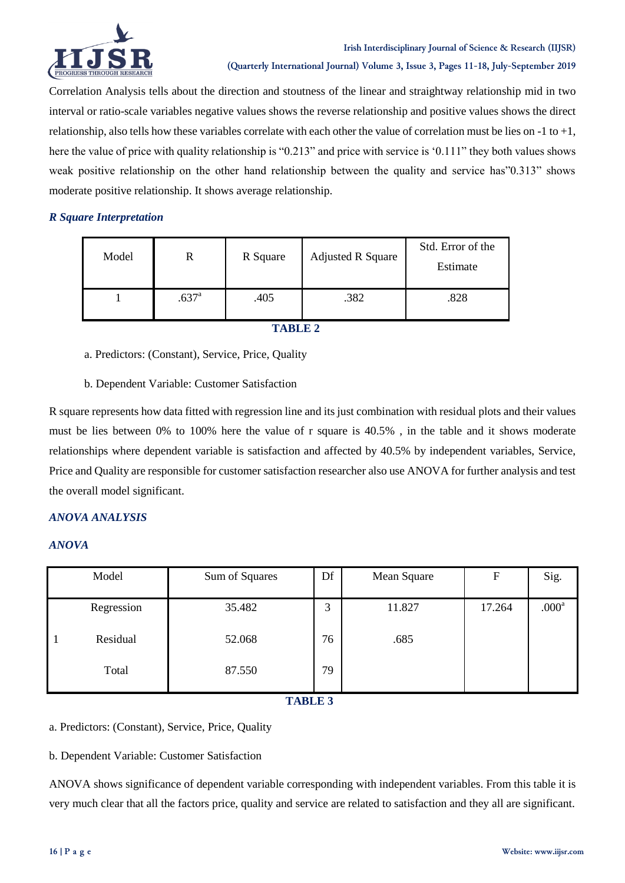

Correlation Analysis tells about the direction and stoutness of the linear and straightway relationship mid in two interval or ratio-scale variables negative values shows the reverse relationship and positive values shows the direct relationship, also tells how these variables correlate with each other the value of correlation must be lies on -1 to +1, here the value of price with quality relationship is "0.213" and price with service is "0.111" they both values shows weak positive relationship on the other hand relationship between the quality and service has"0.313" shows moderate positive relationship. It shows average relationship.

## *R Square Interpretation*

| Model |                   | R Square | <b>Adjusted R Square</b> | Std. Error of the<br>Estimate |
|-------|-------------------|----------|--------------------------|-------------------------------|
|       | .637 <sup>a</sup> | .405     | .382                     | .828                          |

**TABLE 2**

a. Predictors: (Constant), Service, Price, Quality

b. Dependent Variable: Customer Satisfaction

R square represents how data fitted with regression line and its just combination with residual plots and their values must be lies between 0% to 100% here the value of r square is 40.5% , in the table and it shows moderate relationships where dependent variable is satisfaction and affected by 40.5% by independent variables, Service, Price and Quality are responsible for customer satisfaction researcher also use ANOVA for further analysis and test the overall model significant.

## *ANOVA ANALYSIS*

## *ANOVA*

| Model                      | Sum of Squares | Df | Mean Square | F      | Sig.              |  |  |  |  |
|----------------------------|----------------|----|-------------|--------|-------------------|--|--|--|--|
| Regression                 | 35.482         | 3  | 11.827      | 17.264 | .000 <sup>a</sup> |  |  |  |  |
| Residual<br>$\overline{1}$ | 52.068         | 76 | .685        |        |                   |  |  |  |  |
| Total                      | 87.550         | 79 |             |        |                   |  |  |  |  |
| <b>PER A TO THE THE AN</b> |                |    |             |        |                   |  |  |  |  |

 **TABLE 3**

a. Predictors: (Constant), Service, Price, Quality

b. Dependent Variable: Customer Satisfaction

ANOVA shows significance of dependent variable corresponding with independent variables. From this table it is very much clear that all the factors price, quality and service are related to satisfaction and they all are significant.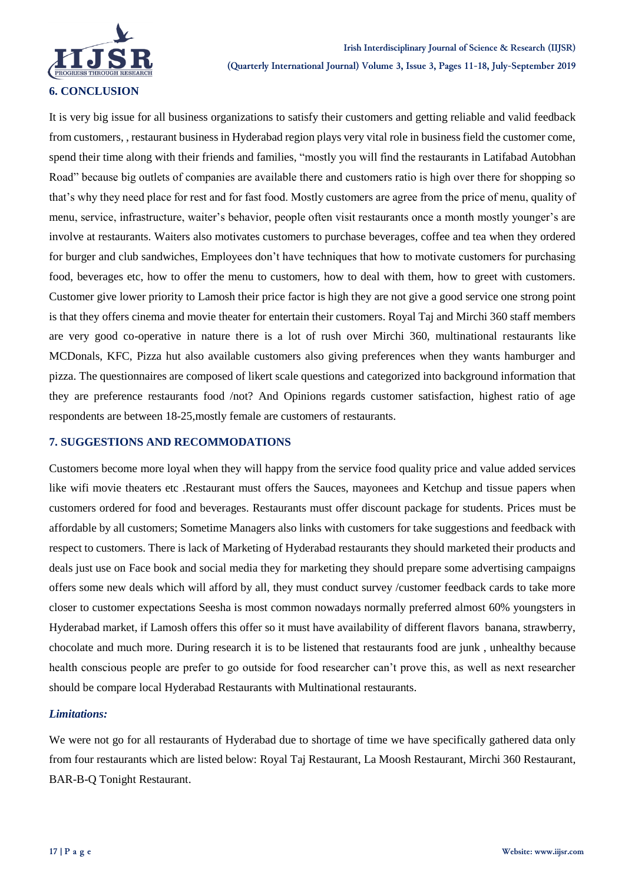

It is very big issue for all business organizations to satisfy their customers and getting reliable and valid feedback from customers, , restaurant business in Hyderabad region plays very vital role in business field the customer come, spend their time along with their friends and families, "mostly you will find the restaurants in Latifabad Autobhan Road" because big outlets of companies are available there and customers ratio is high over there for shopping so that"s why they need place for rest and for fast food. Mostly customers are agree from the price of menu, quality of menu, service, infrastructure, waiter"s behavior, people often visit restaurants once a month mostly younger"s are involve at restaurants. Waiters also motivates customers to purchase beverages, coffee and tea when they ordered for burger and club sandwiches, Employees don"t have techniques that how to motivate customers for purchasing food, beverages etc, how to offer the menu to customers, how to deal with them, how to greet with customers. Customer give lower priority to Lamosh their price factor is high they are not give a good service one strong point is that they offers cinema and movie theater for entertain their customers. Royal Taj and Mirchi 360 staff members are very good co-operative in nature there is a lot of rush over Mirchi 360, multinational restaurants like MCDonals, KFC, Pizza hut also available customers also giving preferences when they wants hamburger and pizza. The questionnaires are composed of likert scale questions and categorized into background information that they are preference restaurants food /not? And Opinions regards customer satisfaction, highest ratio of age respondents are between 18-25,mostly female are customers of restaurants.

## **7. SUGGESTIONS AND RECOMMODATIONS**

Customers become more loyal when they will happy from the service food quality price and value added services like wifi movie theaters etc .Restaurant must offers the Sauces, mayonees and Ketchup and tissue papers when customers ordered for food and beverages. Restaurants must offer discount package for students. Prices must be affordable by all customers; Sometime Managers also links with customers for take suggestions and feedback with respect to customers. There is lack of Marketing of Hyderabad restaurants they should marketed their products and deals just use on Face book and social media they for marketing they should prepare some advertising campaigns offers some new deals which will afford by all, they must conduct survey /customer feedback cards to take more closer to customer expectations Seesha is most common nowadays normally preferred almost 60% youngsters in Hyderabad market, if Lamosh offers this offer so it must have availability of different flavors banana, strawberry, chocolate and much more. During research it is to be listened that restaurants food are junk , unhealthy because health conscious people are prefer to go outside for food researcher can"t prove this, as well as next researcher should be compare local Hyderabad Restaurants with Multinational restaurants.

## *Limitations:*

We were not go for all restaurants of Hyderabad due to shortage of time we have specifically gathered data only from four restaurants which are listed below: Royal Taj Restaurant, La Moosh Restaurant, Mirchi 360 Restaurant, BAR-B-Q Tonight Restaurant.